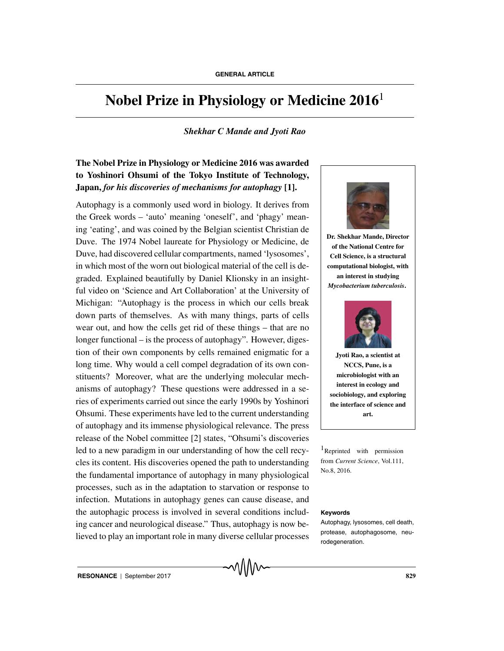# **Nobel Prize in Physiology or Medicine 2016**<sup>1</sup>

## *Shekhar C Mande and Jyoti Rao*

# **The Nobel Prize in Physiology or Medicine 2016 was awarded to Yoshinori Ohsumi of the Tokyo Institute of Technology, Japan,** *for his discoveries of mechanisms for autophagy* **[1].**

Autophagy is a commonly used word in biology. It derives from the Greek words – 'auto' meaning 'oneself', and 'phagy' meaning 'eating', and was coined by the Belgian scientist Christian de Duve. The 1974 Nobel laureate for Physiology or Medicine, de Duve, had discovered cellular compartments, named 'lysosomes', in which most of the worn out biological material of the cell is degraded. Explained beautifully by Daniel Klionsky in an insightful video on 'Science and Art Collaboration' at the University of Michigan: "Autophagy is the process in which our cells break down parts of themselves. As with many things, parts of cells wear out, and how the cells get rid of these things – that are no longer functional – is the process of autophagy". However, digestion of their own components by cells remained enigmatic for a long time. Why would a cell compel degradation of its own constituents? Moreover, what are the underlying molecular mechanisms of autophagy? These questions were addressed in a series of experiments carried out since the early 1990s by Yoshinori Ohsumi. These experiments have led to the current understanding of autophagy and its immense physiological relevance. The press release of the Nobel committee [2] states, "Ohsumi's discoveries led to a new paradigm in our understanding of how the cell recy- $\frac{1}{2}$ Reprinted with permission cles its content. His discoveries opened the path to understanding the fundamental importance of autophagy in many physiological processes, such as in the adaptation to starvation or response to infection. Mutations in autophagy genes can cause disease, and the autophagic process is involved in several conditions includ- **Keywords** ing cancer and neurological disease." Thus, autophagy is now believed to play an important role in many diverse cellular processes



**Dr. Shekhar Mande, Director of the National Centre for Cell Science, is a structural computational biologist, with an interest in studying** *Mycobacterium tuberculosis***.**



**Jyoti Rao, a scientist at NCCS, Pune, is a microbiologist with an interest in ecology and sociobiology, and exploring the interface of science and art.**

from *Current Science*, Vol.111, No.8, 2016.

Autophagy, lysosomes, cell death, protease, autophagosome, neurodegeneration.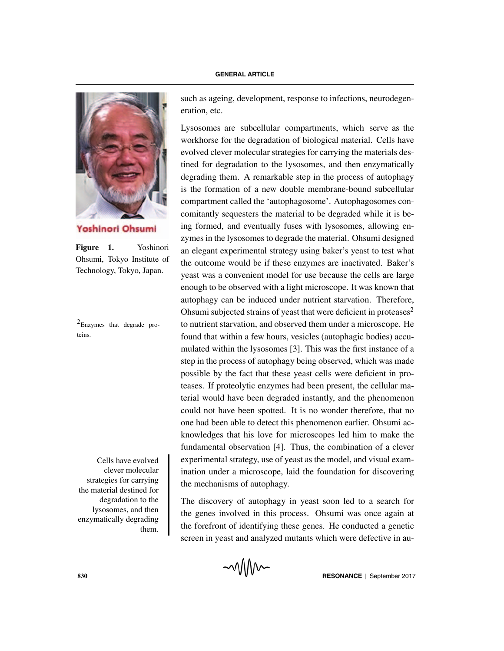

Yoshinori Ohsumi

**Figure 1.** Yoshinori Ohsumi, Tokyo Institute of Technology, Tokyo, Japan.

 $2$ Enzymes that degrade proteins.

clever molecular strategies for carrying the material destined for degradation to the lysosomes, and then enzymatically degrading them.

such as ageing, development, response to infections, neurodegeneration, etc.

Lysosomes are subcellular compartments, which serve as the workhorse for the degradation of biological material. Cells have evolved clever molecular strategies for carrying the materials destined for degradation to the lysosomes, and then enzymatically degrading them. A remarkable step in the process of autophagy is the formation of a new double membrane-bound subcellular compartment called the 'autophagosome'. Autophagosomes concomitantly sequesters the material to be degraded while it is being formed, and eventually fuses with lysosomes, allowing enzymes in the lysosomes to degrade the material. Ohsumi designed an elegant experimental strategy using baker's yeast to test what the outcome would be if these enzymes are inactivated. Baker's yeast was a convenient model for use because the cells are large enough to be observed with a light microscope. It was known that autophagy can be induced under nutrient starvation. Therefore, Ohsumi subjected strains of yeast that were deficient in proteases<sup>2</sup> to nutrient starvation, and observed them under a microscope. He found that within a few hours, vesicles (autophagic bodies) accumulated within the lysosomes [3]. This was the first instance of a step in the process of autophagy being observed, which was made possible by the fact that these yeast cells were deficient in proteases. If proteolytic enzymes had been present, the cellular material would have been degraded instantly, and the phenomenon could not have been spotted. It is no wonder therefore, that no one had been able to detect this phenomenon earlier. Ohsumi acknowledges that his love for microscopes led him to make the fundamental observation [4]. Thus, the combination of a clever Cells have evolved experimental strategy, use of yeast as the model, and visual examination under a microscope, laid the foundation for discovering the mechanisms of autophagy.

> The discovery of autophagy in yeast soon led to a search for the genes involved in this process. Ohsumi was once again at the forefront of identifying these genes. He conducted a genetic screen in yeast and analyzed mutants which were defective in au-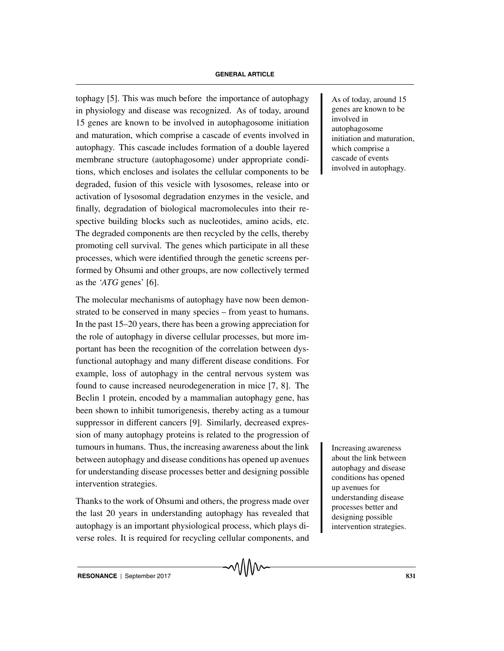tophagy [5]. This was much before the importance of autophagy  $\parallel$  As of today, around 15 in physiology and disease was recognized. As of today, around 15 genes are known to be involved in autophagosome initiation and maturation, which comprise a cascade of events involved in autophagy. This cascade includes formation of a double layered membrane structure (autophagosome) under appropriate conditions, which encloses and isolates the cellular components to be degraded, fusion of this vesicle with lysosomes, release into or activation of lysosomal degradation enzymes in the vesicle, and finally, degradation of biological macromolecules into their respective building blocks such as nucleotides, amino acids, etc. The degraded components are then recycled by the cells, thereby promoting cell survival. The genes which participate in all these processes, which were identified through the genetic screens performed by Ohsumi and other groups, are now collectively termed as the *'ATG* genes' [6].

The molecular mechanisms of autophagy have now been demonstrated to be conserved in many species – from yeast to humans. In the past 15–20 years, there has been a growing appreciation for the role of autophagy in diverse cellular processes, but more important has been the recognition of the correlation between dysfunctional autophagy and many different disease conditions. For example, loss of autophagy in the central nervous system was found to cause increased neurodegeneration in mice [7, 8]. The Beclin 1 protein, encoded by a mammalian autophagy gene, has been shown to inhibit tumorigenesis, thereby acting as a tumour suppressor in different cancers [9]. Similarly, decreased expression of many autophagy proteins is related to the progression of tumours in humans. Thus, the increasing awareness about the link Increasing awareness between autophagy and disease conditions has opened up avenues for understanding disease processes better and designing possible intervention strategies.

Thanks to the work of Ohsumi and others, the progress made over the last 20 years in understanding autophagy has revealed that autophagy is an important physiological process, which plays diverse roles. It is required for recycling cellular components, and

genes are known to be involved in autophagosome initiation and maturation, which comprise a cascade of events involved in autophagy.

about the link between autophagy and disease conditions has opened up avenues for understanding disease processes better and designing possible intervention strategies.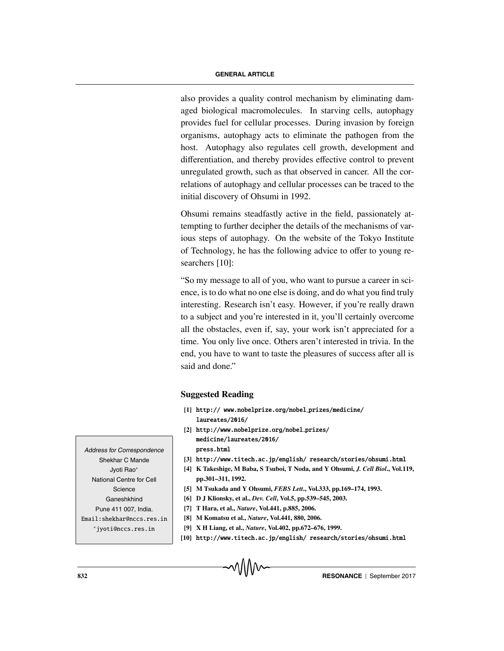also provides a quality control mechanism by eliminating damaged biological macromolecules. In starving cells, autophagy provides fuel for cellular processes. During invasion by foreign organisms, autophagy acts to eliminate the pathogen from the host. Autophagy also regulates cell growth, development and differentiation, and thereby provides effective control to prevent unregulated growth, such as that observed in cancer. All the correlations of autophagy and cellular processes can be traced to the initial discovery of Ohsumi in 1992.

Ohsumi remains steadfastly active in the field, passionately attempting to further decipher the details of the mechanisms of various steps of autophagy. On the website of the Tokyo Institute of Technology, he has the following advice to offer to young researchers [10]:

"So my message to all of you, who want to pursue a career in science, is to do what no one else is doing, and do what you find truly interesting. Research isn't easy. However, if you're really drawn to a subject and you're interested in it, you'll certainly overcome all the obstacles, even if, say, your work isn't appreciated for a time. You only live once. Others aren't interested in trivia. In the end, you have to want to taste the pleasures of success after all is said and done."

### **Suggested Reading**

- **[1]** http:// www.nobelprize.org/nobel prizes/medicine/
- [2] http://www.nobelprize.org/nobel\_prizes/ medicine/laureates/2016/
- press.<br> **[3] http://www.titech.ac.jp/english/ research/stories/ohsumi.html**<br> **EXECUTE:** A STORES AND PRESS. AND PRESS.
- **[4] K Takeshige, M Baba, S Tsuboi, T Noda, and Y Ohsumi,** *J. Cell Biol***., Vol.119, pp.301–311, 1992.**
- **[5] M Tsukada and Y Ohsumi,** *FEBS Lett***., Vol.333, pp.169–174, 1993.**
- **[6] D J Klionsky, et al.,** *Dev. Cell***, Vol.5, pp.539–545, 2003.**
- **[7] T Hara, et al.,** *Nature***, Vol.441, p.885, 2006.**
- **[8] M Komatsu et al.,** *Nature***, Vol.441, 880, 2006.**
- **[9] X H Liang, et al.,** *Nature***, Vol.402, pp.672–676, 1999.**
- **[10]** http://www.titech.ac.jp/english/ research/stories/ohsumi.html

Address for Correspondence Shekhar C Mande Jyoti Rao∗ National Centre for Cell **Science** Ganeshkhind Pune 411 007, India. Email:shekhar@nccs.res.in ∗jyoti@nccs.res.in